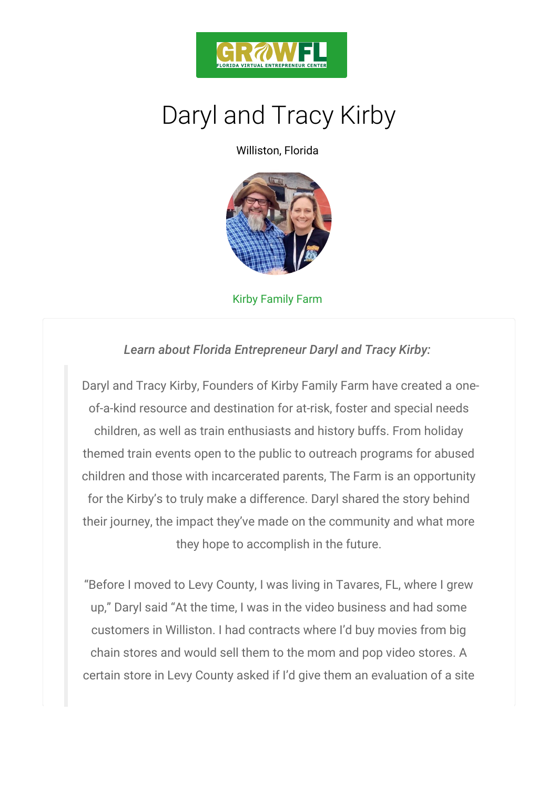

Williston, Florida

## Kirby Family Farm

Learn about Florida Entrepreneur Daryl and Tra

Daryl and Tracy Kirby, Founders of Kirby Fammely Farm of-a-kind resource and destination for at-risk, foster children, as well as train enthusiasts and history but themed train events open to the public to outreach pro children and those with incarcerated parents, The Far for the Kirby s to truly make a difference. Daryl share their journey, the impact they ve made on the commun they hope to accomplish in the future.

Before I moved to Levy County, I was living in Tavare up, Daryl said At the time, I was in the video busines customers in Williston. I had contracts where I d buy chain stores and would sell them to the mom and pop certain store in Levy County asked if I d give them an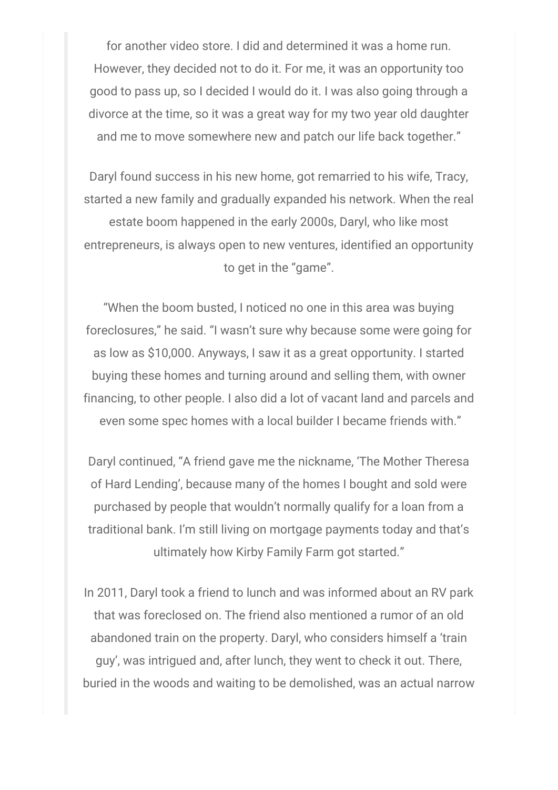for another video store. I did and determined it was a home run. However, they decided not to do it. For me, it was an opportunity too good to pass up, so I decided I would do it. I was also going through a divorce at the time, so it was a great way for my two year old daughter and me to move somewhere new and patch our life back together."

Daryl found success in his new home, got remarried to his wife, Tracy, started a new family and gradually expanded his network. When the real estate boom happened in the early 2000s, Daryl, who like most entrepreneurs, is always open to new ventures, identified an opportunity to get in the "game".

"When the boom busted, I noticed no one in this area was buying foreclosures," he said. "I wasn't sure why because some were going for as low as \$10,000. Anyways, I saw it as a great opportunity. I started buying these homes and turning around and selling them, with owner financing, to other people. I also did a lot of vacant land and parcels and even some spec homes with a local builder I became friends with."

Daryl continued, "A friend gave me the nickname, 'The Mother Theresa of Hard Lending', because many of the homes I bought and sold were purchased by people that wouldn't normally qualify for a loan from a traditional bank. I'm still living on mortgage payments today and that's ultimately how Kirby Family Farm got started."

In 2011, Daryl took a friend to lunch and was informed about an RV park that was foreclosed on. The friend also mentioned a rumor of an old abandoned train on the property. Daryl, who considers himself a 'train guy', was intrigued and, after lunch, they went to check it out. There, buried in the woods and waiting to be demolished, was an actual narrow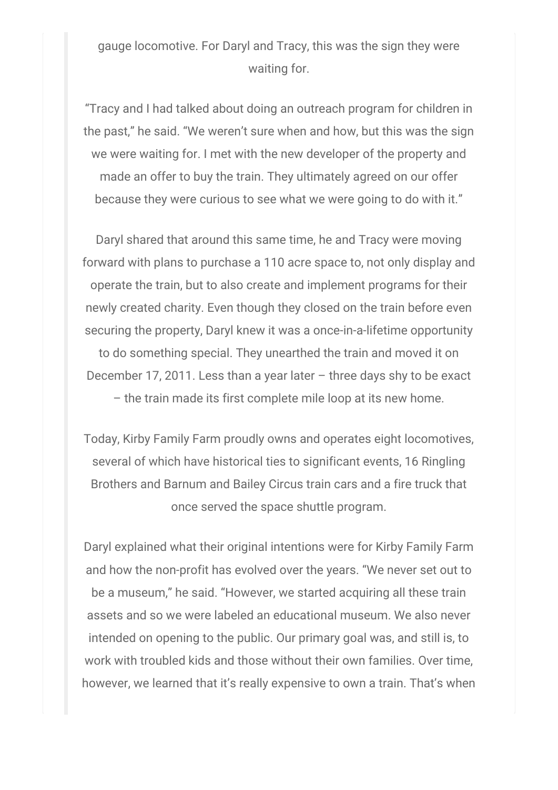## gauge locomotive. For Daryl and Tracy, this was the sign they were waiting for.

"Tracy and I had talked about doing an outreach program for children in the past," he said. "We weren't sure when and how, but this was the sign we were waiting for. I met with the new developer of the property and made an offer to buy the train. They ultimately agreed on our offer because they were curious to see what we were going to do with it."

Daryl shared that around this same time, he and Tracy were moving forward with plans to purchase a 110 acre space to, not only display and operate the train, but to also create and implement programs for their newly created charity. Even though they closed on the train before even securing the property, Daryl knew it was a once-in-a-lifetime opportunity to do something special. They unearthed the train and moved it on December 17, 2011. Less than a year later – three days shy to be exact – the train made its first complete mile loop at its new home.

Today, Kirby Family Farm proudly owns and operates eight locomotives, several of which have historical ties to significant events, 16 Ringling Brothers and Barnum and Bailey Circus train cars and a fire truck that once served the space shuttle program.

Daryl explained what their original intentions were for Kirby Family Farm and how the non-profit has evolved over the years. "We never set out to be a museum," he said. "However, we started acquiring all these train assets and so we were labeled an educational museum. We also never intended on opening to the public. Our primary goal was, and still is, to work with troubled kids and those without their own families. Over time, however, we learned that it's really expensive to own a train. That's when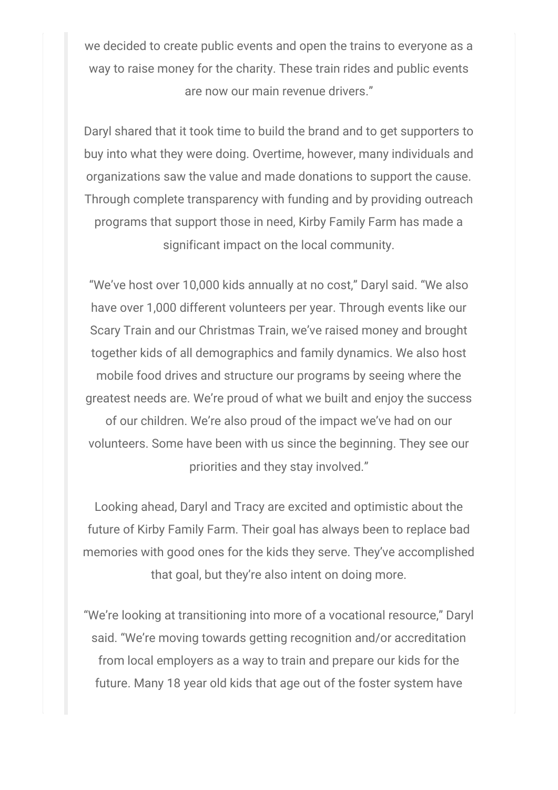we decided to create public events and open the trains to everyone as a way to raise money for the charity. These train rides and public events are now our main revenue drivers."

Daryl shared that it took time to build the brand and to get supporters to buy into what they were doing. Overtime, however, many individuals and organizations saw the value and made donations to support the cause. Through complete transparency with funding and by providing outreach programs that support those in need, Kirby Family Farm has made a significant impact on the local community.

"We've host over 10,000 kids annually at no cost," Daryl said. "We also have over 1,000 different volunteers per year. Through events like our Scary Train and our Christmas Train, we've raised money and brought together kids of all demographics and family dynamics. We also host mobile food drives and structure our programs by seeing where the greatest needs are. We're proud of what we built and enjoy the success of our children. We're also proud of the impact we've had on our volunteers. Some have been with us since the beginning. They see our priorities and they stay involved."

Looking ahead, Daryl and Tracy are excited and optimistic about the future of Kirby Family Farm. Their goal has always been to replace bad memories with good ones for the kids they serve. They've accomplished that goal, but they're also intent on doing more.

"We're looking at transitioning into more of a vocational resource," Daryl said. "We're moving towards getting recognition and/or accreditation from local employers as a way to train and prepare our kids for the future. Many 18 year old kids that age out of the foster system have